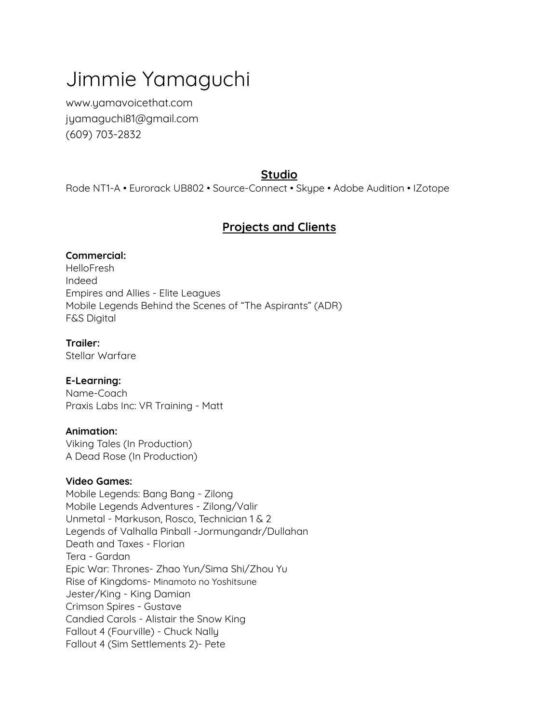# Jimmie Yamaguchi

[www.yamavoicethat.com](http://www.yamavoicethat.com) [jyamaguchi81@gmail.com](mailto:jyamaguchi81@gmail.com) (609) 703-2832

# **Studio**

Rode NT1-A • Eurorack UB802 • Source-Connect • Skype • Adobe Audition • IZotope

# **Projects and Clients**

### **Commercial:**

HelloFresh Indeed Empires and Allies - Elite Leagues Mobile Legends Behind the Scenes of "The Aspirants" (ADR) F&S Digital

## **Trailer:**

Stellar Warfare

## **E-Learning:**

Name-Coach Praxis Labs Inc: VR Training - Matt

#### **Animation:**

Viking Tales (In Production) A Dead Rose (In Production)

#### **Video Games:**

Mobile Legends: Bang Bang - Zilong Mobile Legends Adventures - Zilong/Valir Unmetal - Markuson, Rosco, Technician 1 & 2 Legends of Valhalla Pinball -Jormungandr/Dullahan Death and Taxes - Florian Tera - Gardan Epic War: Thrones- Zhao Yun/Sima Shi/Zhou Yu Rise of Kingdoms- Minamoto no Yoshitsune Jester/King - King Damian Crimson Spires - Gustave Candied Carols - Alistair the Snow King Fallout 4 (Fourville) - Chuck Nally Fallout 4 (Sim Settlements 2)- Pete